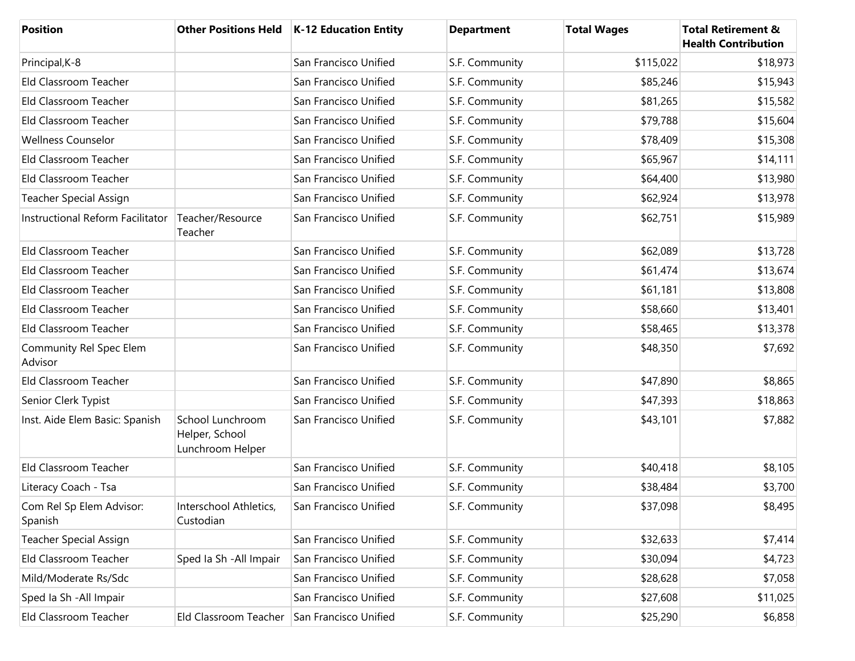| <b>Position</b>                     |                                                        | Other Positions Held   K-12 Education Entity | <b>Department</b> | <b>Total Wages</b> | <b>Total Retirement &amp;</b><br><b>Health Contribution</b> |
|-------------------------------------|--------------------------------------------------------|----------------------------------------------|-------------------|--------------------|-------------------------------------------------------------|
| Principal, K-8                      |                                                        | San Francisco Unified                        | S.F. Community    | \$115,022          | \$18,973                                                    |
| Eld Classroom Teacher               |                                                        | San Francisco Unified                        | S.F. Community    | \$85,246           | \$15,943                                                    |
| Eld Classroom Teacher               |                                                        | San Francisco Unified                        | S.F. Community    | \$81,265           | \$15,582                                                    |
| Eld Classroom Teacher               |                                                        | San Francisco Unified                        | S.F. Community    | \$79,788           | \$15,604                                                    |
| <b>Wellness Counselor</b>           |                                                        | San Francisco Unified                        | S.F. Community    | \$78,409           | \$15,308                                                    |
| Eld Classroom Teacher               |                                                        | San Francisco Unified                        | S.F. Community    | \$65,967           | \$14,111                                                    |
| Eld Classroom Teacher               |                                                        | San Francisco Unified                        | S.F. Community    | \$64,400           | \$13,980                                                    |
| <b>Teacher Special Assign</b>       |                                                        | San Francisco Unified                        | S.F. Community    | \$62,924           | \$13,978                                                    |
| Instructional Reform Facilitator    | Teacher/Resource<br>Teacher                            | San Francisco Unified                        | S.F. Community    | \$62,751           | \$15,989                                                    |
| Eld Classroom Teacher               |                                                        | San Francisco Unified                        | S.F. Community    | \$62,089           | \$13,728                                                    |
| Eld Classroom Teacher               |                                                        | San Francisco Unified                        | S.F. Community    | \$61,474           | \$13,674                                                    |
| Eld Classroom Teacher               |                                                        | San Francisco Unified                        | S.F. Community    | \$61,181           | \$13,808                                                    |
| Eld Classroom Teacher               |                                                        | San Francisco Unified                        | S.F. Community    | \$58,660           | \$13,401                                                    |
| Eld Classroom Teacher               |                                                        | San Francisco Unified                        | S.F. Community    | \$58,465           | \$13,378                                                    |
| Community Rel Spec Elem<br>Advisor  |                                                        | San Francisco Unified                        | S.F. Community    | \$48,350           | \$7,692                                                     |
| Eld Classroom Teacher               |                                                        | San Francisco Unified                        | S.F. Community    | \$47,890           | \$8,865                                                     |
| Senior Clerk Typist                 |                                                        | San Francisco Unified                        | S.F. Community    | \$47,393           | \$18,863                                                    |
| Inst. Aide Elem Basic: Spanish      | School Lunchroom<br>Helper, School<br>Lunchroom Helper | San Francisco Unified                        | S.F. Community    | \$43,101           | \$7,882                                                     |
| Eld Classroom Teacher               |                                                        | San Francisco Unified                        | S.F. Community    | \$40,418           | \$8,105                                                     |
| Literacy Coach - Tsa                |                                                        | San Francisco Unified                        | S.F. Community    | \$38,484           | \$3,700                                                     |
| Com Rel Sp Elem Advisor:<br>Spanish | Interschool Athletics,<br>Custodian                    | San Francisco Unified                        | S.F. Community    | \$37,098           | \$8,495                                                     |
| <b>Teacher Special Assign</b>       |                                                        | San Francisco Unified                        | S.F. Community    | \$32,633           | \$7,414                                                     |
| Eld Classroom Teacher               | Sped Ia Sh - All Impair                                | San Francisco Unified                        | S.F. Community    | \$30,094           | \$4,723                                                     |
| Mild/Moderate Rs/Sdc                |                                                        | San Francisco Unified                        | S.F. Community    | \$28,628           | \$7,058                                                     |
| Sped Ia Sh - All Impair             |                                                        | San Francisco Unified                        | S.F. Community    | \$27,608           | \$11,025                                                    |
| Eld Classroom Teacher               | Eld Classroom Teacher                                  | San Francisco Unified                        | S.F. Community    | \$25,290           | \$6,858                                                     |